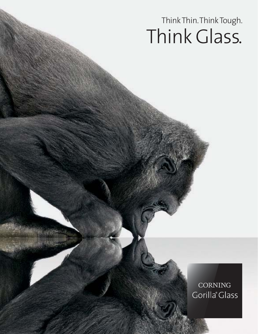# Think Thin.Think Tough. Think Glass.

### CORNING Gorilla<sup>®</sup> Glass